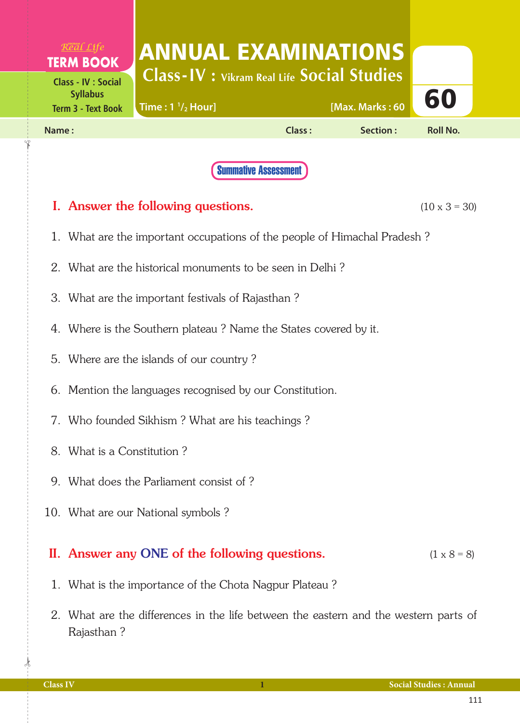| $R^{\text{VIKRAM}}_{\ell}$ <i>Real Life</i><br><b>TERM BOOK</b><br><b>Class - IV : Social</b> | <b>ANNUAL EXAMINATIONS</b><br><b>Class-IV</b> : Vikram Real Life Social Studies |        |                 |                 |  |
|-----------------------------------------------------------------------------------------------|---------------------------------------------------------------------------------|--------|-----------------|-----------------|--|
| <b>Syllabus</b><br><b>Term 3 - Text Book</b>                                                  | Time: $1\frac{1}{2}$ Hour]                                                      |        | [Max. Marks: 60 | 60              |  |
| Name:                                                                                         |                                                                                 | Class: | Section:        | <b>Roll No.</b> |  |
|                                                                                               | <b>Summative Assessment</b>                                                     |        |                 |                 |  |

## **I.** Answer the following questions.  $(10 \times 3 = 30)$

- 1. What are the important occupations of the people of Himachal Pradesh ?
- 2. What are the historical monuments to be seen in Delhi ?
- 3. What are the important festivals of Rajasthan ?
- 4. Where is the Southern plateau ? Name the States covered by it.
- 5. Where are the islands of our country ?
- 6. Mention the languages recognised by our Constitution.
- 7. Who founded Sikhism ? What are his teachings ?
- 8. What is a Constitution ?
- 9. What does the Parliament consist of ?
- 10. What are our National symbols ?

## II. Answer any ONE of the following questions.  $(1 \times 8 = 8)$

- 1. What is the importance of the Chota Nagpur Plateau ?
- 2. What are the differences in the life between the eastern and the western parts of Rajasthan ?

 $\frac{1}{2}$ 

✁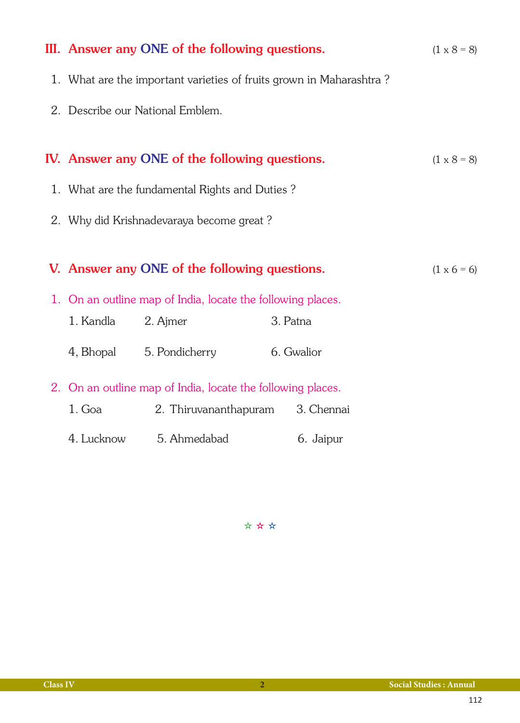| III. Answer any ONE of the following questions.                     |                                                             |  | $(1 \times 8 = 8)$ |                    |
|---------------------------------------------------------------------|-------------------------------------------------------------|--|--------------------|--------------------|
| 1. What are the important varieties of fruits grown in Maharashtra? |                                                             |  |                    |                    |
|                                                                     | 2. Describe our National Emblem.                            |  |                    |                    |
|                                                                     | IV. Answer any ONE of the following questions.              |  |                    | $(1 \times 8 = 8)$ |
| 1. What are the fundamental Rights and Duties?                      |                                                             |  |                    |                    |
| 2. Why did Krishnadevaraya become great?                            |                                                             |  |                    |                    |
| V. Answer any ONE of the following questions.                       |                                                             |  |                    |                    |
| 1. On an outline map of India, locate the following places.         |                                                             |  |                    |                    |
| 1. Kandla                                                           | 2. Ajmer                                                    |  | 3. Patna           |                    |
|                                                                     | 4, Bhopal 5. Pondicherry<br>6. Gwalior                      |  |                    |                    |
|                                                                     | 2. On an outline map of India, locate the following places. |  |                    |                    |
| $1.$ Goa                                                            | 2. Thiruvananthapuram 3. Chennai                            |  |                    |                    |
|                                                                     | 4. Lucknow 5. Ahmedabad                                     |  | 6. Jaipur          |                    |

✫ ✫ ✫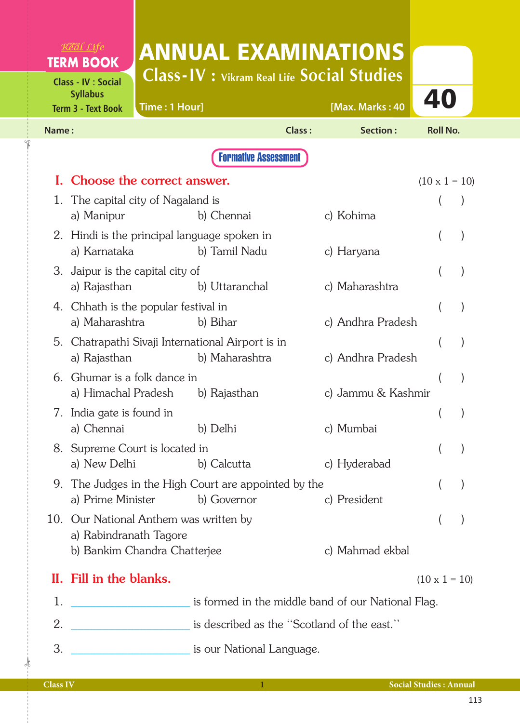|       | $R$ <sup>org</sup> al Life<br><b>TERM BOOK</b>                             | <b>ANNUAL EXAMINATIONS</b>                                          |               |                    |                      |  |  |  |  |
|-------|----------------------------------------------------------------------------|---------------------------------------------------------------------|---------------|--------------------|----------------------|--|--|--|--|
|       | <b>Class - IV : Social</b><br><b>Syllabus</b><br><b>Term 3 - Text Book</b> | <b>Class-IV : Vikram Real Life Social Studies</b><br>Time: 1 Hour]  |               | [Max. Marks: 40    | 40                   |  |  |  |  |
| Name: |                                                                            |                                                                     | <b>Class:</b> | Section:           | <b>Roll No.</b>      |  |  |  |  |
|       | <b>Formative Assessment</b>                                                |                                                                     |               |                    |                      |  |  |  |  |
| L.    |                                                                            | Choose the correct answer.                                          |               |                    | $(10 \times 1 = 10)$ |  |  |  |  |
|       | a) Manipur                                                                 | 1. The capital city of Nagaland is<br>b) Chennai                    |               | c) Kohima          |                      |  |  |  |  |
|       | a) Karnataka                                                               | 2. Hindi is the principal language spoken in<br>b) Tamil Nadu       |               | c) Haryana         | $\mathcal{E}$        |  |  |  |  |
|       | 3. Jaipur is the capital city of<br>a) Rajasthan                           | b) Uttaranchal                                                      |               | c) Maharashtra     |                      |  |  |  |  |
|       | a) Maharashtra                                                             | 4. Chhath is the popular festival in<br>b) Bihar                    |               | c) Andhra Pradesh  |                      |  |  |  |  |
|       | a) Rajasthan                                                               | 5. Chatrapathi Sivaji International Airport is in<br>b) Maharashtra |               | c) Andhra Pradesh  |                      |  |  |  |  |
|       | 6. Ghumar is a folk dance in<br>a) Himachal Pradesh                        | b) Rajasthan                                                        |               | c) Jammu & Kashmir |                      |  |  |  |  |
| 7.    | India gate is found in<br>a) Chennai                                       | b) Delhi                                                            |               | c) Mumbai          |                      |  |  |  |  |
|       | a) New Delhi                                                               | 8. Supreme Court is located in<br>b) Calcutta                       |               | c) Hyderabad       |                      |  |  |  |  |
|       | a) Prime Minister                                                          | 9. The Judges in the High Court are appointed by the<br>b) Governor |               | c) President       |                      |  |  |  |  |
|       | a) Rabindranath Tagore                                                     | 10. Our National Anthem was written by                              |               |                    |                      |  |  |  |  |
|       |                                                                            | b) Bankim Chandra Chatterjee                                        |               | c) Mahmad ekbal    |                      |  |  |  |  |
|       | II. Fill in the blanks.                                                    |                                                                     |               |                    | $(10 \times 1 = 10)$ |  |  |  |  |
| 1.    |                                                                            | is formed in the middle band of our National Flag.                  |               |                    |                      |  |  |  |  |
| 2.    |                                                                            | is described as the "Scotland of the east."                         |               |                    |                      |  |  |  |  |
| 3.    |                                                                            | <u>________________________</u> is our National Language.           |               |                    |                      |  |  |  |  |

✁

✁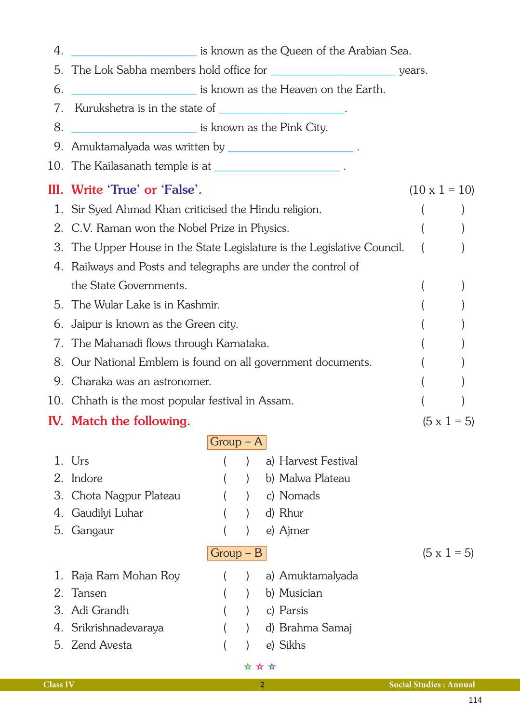| 4. | is known as the Queen of the Arabian Sea.                            |             |       |  |                     |                      |
|----|----------------------------------------------------------------------|-------------|-------|--|---------------------|----------------------|
| 5. |                                                                      |             |       |  |                     |                      |
| 6. | is known as the Heaven on the Earth.                                 |             |       |  |                     |                      |
| 7. | Kurukshetra is in the state of _______________________.              |             |       |  |                     |                      |
| 8. | <u>Example 2014</u> is known as the Pink City.                       |             |       |  |                     |                      |
|    | 9. Amuktamalyada was written by ____________________________.        |             |       |  |                     |                      |
|    | 10. The Kailasanath temple is at ___________________________.        |             |       |  |                     |                      |
|    | III. Write 'True' or 'False'.                                        |             |       |  |                     | $(10 \times 1 = 10)$ |
|    | 1. Sir Syed Ahmad Khan criticised the Hindu religion.                |             |       |  |                     |                      |
| 2. | C.V. Raman won the Nobel Prize in Physics.                           |             |       |  |                     |                      |
| 3. | The Upper House in the State Legislature is the Legislative Council. |             |       |  |                     |                      |
|    | 4. Railways and Posts and telegraphs are under the control of        |             |       |  |                     |                      |
|    | the State Governments.                                               |             |       |  |                     |                      |
|    | 5. The Wular Lake is in Kashmir.                                     |             |       |  |                     |                      |
| 6. | Jaipur is known as the Green city.                                   |             |       |  |                     |                      |
| 7. | The Mahanadi flows through Karnataka.                                |             |       |  |                     |                      |
| 8. | Our National Emblem is found on all government documents.            |             |       |  |                     |                      |
| 9. | Charaka was an astronomer.                                           |             |       |  |                     |                      |
|    | 10. Chhath is the most popular festival in Assam.                    |             |       |  |                     |                      |
|    | <b>IV.</b> Match the following.                                      |             |       |  |                     | $(5 \times 1 = 5)$   |
|    |                                                                      | $Group - A$ |       |  |                     |                      |
|    | 1. Urs                                                               |             |       |  | a) Harvest Festival |                      |
| 2. | Indore                                                               |             |       |  | b) Malwa Plateau    |                      |
| 3. | Chota Nagpur Plateau                                                 |             |       |  | c) Nomads           |                      |
| 4. | Gaudilyi Luhar                                                       |             |       |  | d) Rhur             |                      |
| 5. | Gangaur                                                              |             |       |  | e) Ajmer            |                      |
|    |                                                                      | $Group - B$ |       |  |                     | $(5 \times 1 = 5)$   |
| 1. | Raja Ram Mohan Roy                                                   |             |       |  | a) Amuktamalyada    |                      |
| 2. | Tansen                                                               |             |       |  | b) Musician         |                      |
| 3. | Adi Grandh                                                           |             |       |  | c) Parsis           |                      |
| 4. | Srikrishnadevaraya                                                   |             |       |  | d) Brahma Samaj     |                      |
|    | 5. Zend Avesta                                                       |             |       |  | e) Sikhs            |                      |
|    |                                                                      |             | * * * |  |                     |                      |